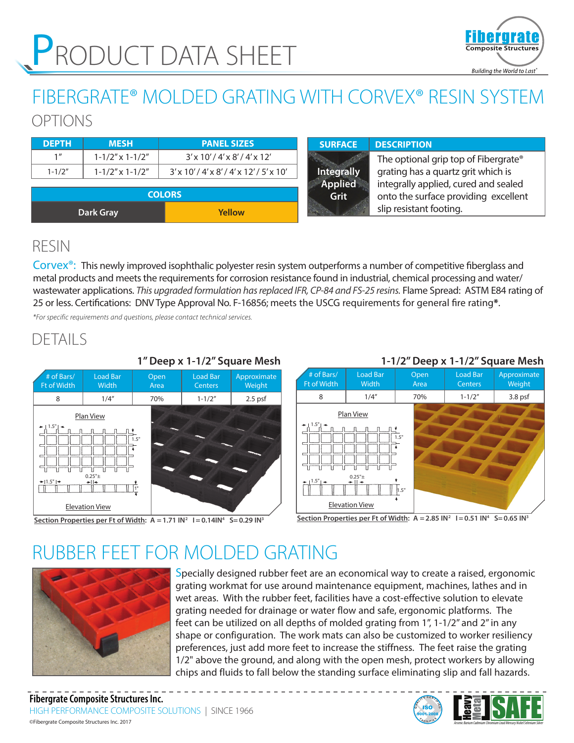

# FIBERGRATE® MOLDED GRATING WITH CORVEX® RESIN SYSTEM

OPTIONS

| <b>DEPTH</b>    | <b>MESH</b>               | <b>PANEL SIZES</b>                   | <b>SURFACE</b>    | <b>DESCRIPTION</b>                   |
|-----------------|---------------------------|--------------------------------------|-------------------|--------------------------------------|
| 1 <sup>''</sup> | $1 - 1/2''$ x $1 - 1/2''$ | $3'$ x 10'/4' x 8'/4' x 12'          |                   | The optional grip top of Fibergrate® |
| $1 - 1/2"$      | $1 - 1/2''$ x $1 - 1/2''$ | $3'$ x 10'/4' x 8'/4' x 12'/5' x 10' | <b>Integrally</b> | grating has a quartz grit which is   |
|                 |                           |                                      | <b>Applied</b>    | integrally applied, cured and sealed |
|                 |                           | <b>COLORS</b>                        | Grit              | onto the surface providing excellent |
|                 | <b>Dark Gray</b>          | Yellow                               |                   | slip resistant footing.              |

## RESIN

Corvex<sup>®</sup>: This newly improved isophthalic polyester resin system outperforms a number of competitive fiberglass and metal products and meets the requirements for corrosion resistance found in industrial, chemical processing and water/ wastewater applications. *This upgraded formulation has replaced IFR, CP-84 and FS-25 resins.* Flame Spread: ASTM E84 rating of 25 or less. Certifications: DNV Type Approval No. F-16856; meets the USCG requirements for general fire rating**\***.

*\*For specific requirements and questions, please contact technical services.*

## DETAILS



#### **1" Deep x 1-1/2" Square Mesh**





Section Properties per Ft of Width:  $A = 1.71$   $IN^2$   $I = 0.14$  $IN^4$  S=0.29  $IN^3$ 



# RUBBER FEET FOR MOLDED GRATING



Specially designed rubber feet are an economical way to create a raised, ergonomic grating workmat for use around maintenance equipment, machines, lathes and in wet areas. With the rubber feet, facilities have a cost-effective solution to elevate grating needed for drainage or water flow and safe, ergonomic platforms. The feet can be utilized on all depths of molded grating from 1", 1-1/2" and 2" in any shape or configuration. The work mats can also be customized to worker resiliency preferences, just add more feet to increase the stiffness. The feet raise the grating 1/2" above the ground, and along with the open mesh, protect workers by allowing chips and fluids to fall below the standing surface eliminating slip and fall hazards.